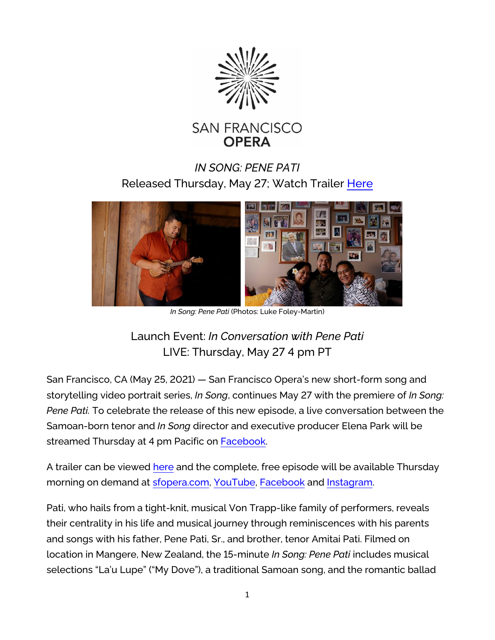



## *IN SONG: PENE PATI*  Released Thursday, May 27; Watch Trailer [Here](https://www.youtube.com/watch?v=X6ccbU9zZ80)



*In Song: Pene Pati* (Photos: Luke Foley-Martin)

## Launch Event: *In Conversation with Pene Pati* LIVE: Thursday, May 27 4 pm PT

San Francisco, CA (May 25, 2021) — San Francisco Opera's new short-form song and storytelling video portrait series, *In Song*, continues May 27 with the premiere of *In Song: Pene Pati.* To celebrate the release of this new episode, a live conversation between the Samoan-born tenor and *In Song* director and executive producer Elena Park will be streamed Thursday at 4 pm Pacific on [Facebook.](https://www.facebook.com/SFOpera)

A trailer can be viewed [here](https://www.youtube.com/watch?v=X6ccbU9zZ80) and the complete, free episode will be available Thursday morning on demand at [sfopera.com,](https://sfopera.com/) [YouTube,](https://www.youtube.com/c/sfoperamedia) [Facebook](https://www.facebook.com/SFOpera) and [Instagram.](https://www.instagram.com/sfopera/)

Pati, who hails from a tight-knit, musical Von Trapp-like family of performers, reveals their centrality in his life and musical journey through reminiscences with his parents and songs with his father, Pene Pati, Sr., and brother, tenor Amitai Pati. Filmed on location in Mangere, New Zealand, the 15-minute *In Song: Pene Pati* includes musical selections "La'u Lupe" ("My Dove"), a traditional Samoan song, and the romantic ballad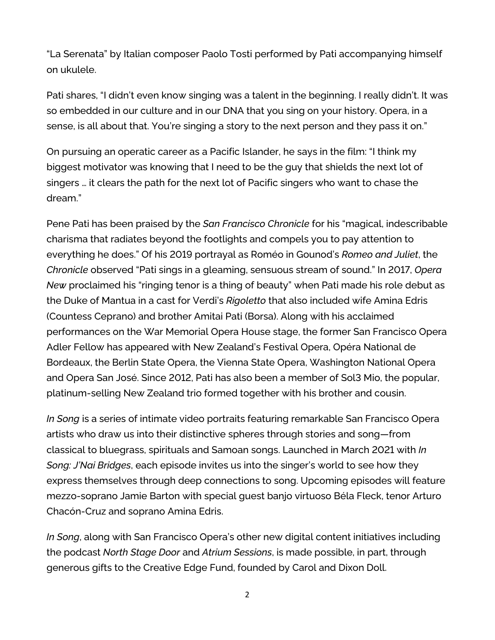"La Serenata" by Italian composer Paolo Tosti performed by Pati accompanying himself on ukulele.

Pati shares, "I didn't even know singing was a talent in the beginning. I really didn't. It was so embedded in our culture and in our DNA that you sing on your history. Opera, in a sense, is all about that. You're singing a story to the next person and they pass it on."

On pursuing an operatic career as a Pacific Islander, he says in the film: "I think my biggest motivator was knowing that I need to be the guy that shields the next lot of singers … it clears the path for the next lot of Pacific singers who want to chase the dream."

Pene Pati has been praised by the *San Francisco Chronicle* for his "magical, indescribable charisma that radiates beyond the footlights and compels you to pay attention to everything he does." Of his 2019 portrayal as Roméo in Gounod's *Romeo and Juliet*, the *Chronicle* observed "Pati sings in a gleaming, sensuous stream of sound." In 2017, *Opera New* proclaimed his "ringing tenor is a thing of beauty" when Pati made his role debut as the Duke of Mantua in a cast for Verdi's *Rigoletto* that also included wife Amina Edris (Countess Ceprano) and brother Amitai Pati (Borsa). Along with his acclaimed performances on the War Memorial Opera House stage, the former San Francisco Opera Adler Fellow has appeared with New Zealand's Festival Opera, Opéra National de Bordeaux, the Berlin State Opera, the Vienna State Opera, Washington National Opera and Opera San José. Since 2012, Pati has also been a member of Sol3 Mio, the popular, platinum-selling New Zealand trio formed together with his brother and cousin.

*In Song* is a series of intimate video portraits featuring remarkable San Francisco Opera artists who draw us into their distinctive spheres through stories and song—from classical to bluegrass, spirituals and Samoan songs. Launched in March 2021 with *In Song: J'Nai Bridges*, each episode invites us into the singer's world to see how they express themselves through deep connections to song. Upcoming episodes will feature mezzo-soprano Jamie Barton with special guest banjo virtuoso Béla Fleck, tenor Arturo Chacón-Cruz and soprano Amina Edris.

*In Song*, along with San Francisco Opera's other new digital content initiatives including the podcast *North Stage Door* and *Atrium Sessions*, is made possible, in part, through generous gifts to the Creative Edge Fund, founded by Carol and Dixon Doll.

2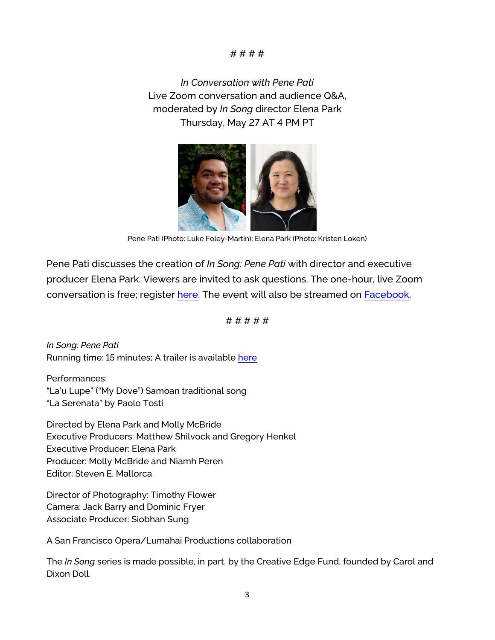## # # # #

*In Conversation with Pene Pati* Live Zoom conversation and audience Q&A, moderated by *In Song* director Elena Park Thursday, May 27 AT 4 PM PT



Pene Pati (Photo: Luke Foley-Martin); Elena Park (Photo: Kristen Loken)

Pene Pati discusses the creation of *In Song: Pene Pati* with director and executive producer Elena Park. Viewers are invited to ask questions. The one-hour, live Zoom conversation is free; register [here.](https://us02web.zoom.us/webinar/register/WN_tMaFq0c-Q2O5eAjEC2JMxw) The event will also be streamed on [Facebook.](https://www.facebook.com/SFOpera)

# # # # #

*In Song: Pene Pati* Running time: 15 minutes; A trailer is available [here](https://www.youtube.com/watch?v=X6ccbU9zZ80)

Performances: "La'u Lupe" ("My Dove") Samoan traditional song "La Serenata" by Paolo Tosti

Directed by Elena Park and Molly McBride Executive Producers: Matthew Shilvock and Gregory Henkel Executive Producer: Elena Park Producer: Molly McBride and Niamh Peren Editor: Steven E. Mallorca

Director of Photography: Timothy Flower Camera: Jack Barry and Dominic Fryer Associate Producer: Siobhan Sung

A San Francisco Opera/Lumahai Productions collaboration

The *In Song* series is made possible, in part, by the Creative Edge Fund, founded by Carol and Dixon Doll.